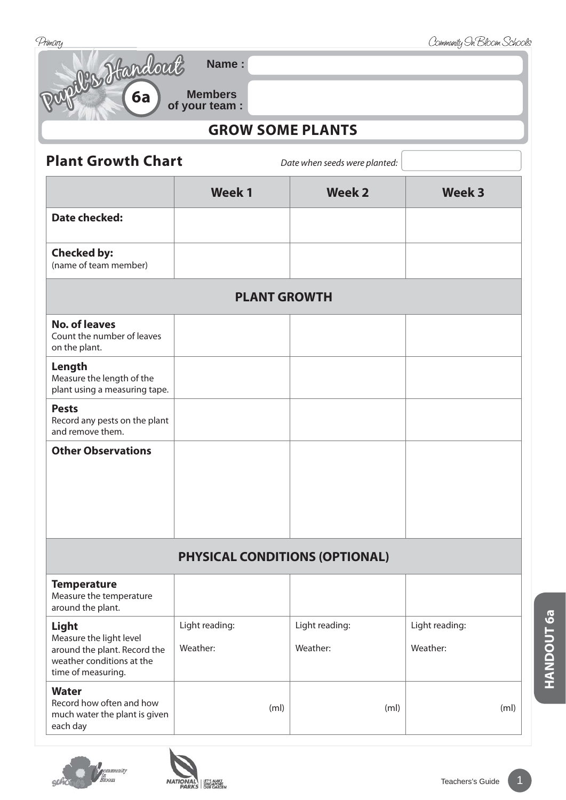| Primary                                                                                                    |                                       |                               | Community On Bloom Schools |
|------------------------------------------------------------------------------------------------------------|---------------------------------------|-------------------------------|----------------------------|
| Dupille Handout                                                                                            | Name:                                 |                               |                            |
|                                                                                                            | <b>Members</b><br>of your team :      |                               |                            |
| <b>GROW SOME PLANTS</b>                                                                                    |                                       |                               |                            |
| <b>Plant Growth Chart</b>                                                                                  |                                       | Date when seeds were planted: |                            |
|                                                                                                            | <b>Week1</b>                          | <b>Week 2</b>                 | <b>Week 3</b>              |
| <b>Date checked:</b>                                                                                       |                                       |                               |                            |
| <b>Checked by:</b><br>(name of team member)                                                                |                                       |                               |                            |
|                                                                                                            | <b>PLANT GROWTH</b>                   |                               |                            |
| <b>No. of leaves</b><br>Count the number of leaves<br>on the plant.                                        |                                       |                               |                            |
| Length<br>Measure the length of the<br>plant using a measuring tape.                                       |                                       |                               |                            |
| <b>Pests</b><br>Record any pests on the plant<br>and remove them.                                          |                                       |                               |                            |
| <b>Other Observations</b>                                                                                  |                                       |                               |                            |
|                                                                                                            |                                       |                               |                            |
|                                                                                                            |                                       |                               |                            |
|                                                                                                            |                                       |                               |                            |
|                                                                                                            | <b>PHYSICAL CONDITIONS (OPTIONAL)</b> |                               |                            |
| <b>Temperature</b><br>Measure the temperature<br>around the plant.                                         |                                       |                               |                            |
| Light                                                                                                      | Light reading:                        | Light reading:                | Light reading:             |
| Measure the light level<br>around the plant. Record the<br>weather conditions at the<br>time of measuring. | Weather:                              | Weather:                      | Weather:                   |
| <b>Water</b><br>Record how often and how<br>much water the plant is given<br>each day                      | (m <sub>l</sub> )                     | (m <sub>l</sub> )             | (m <sub>l</sub> )          |